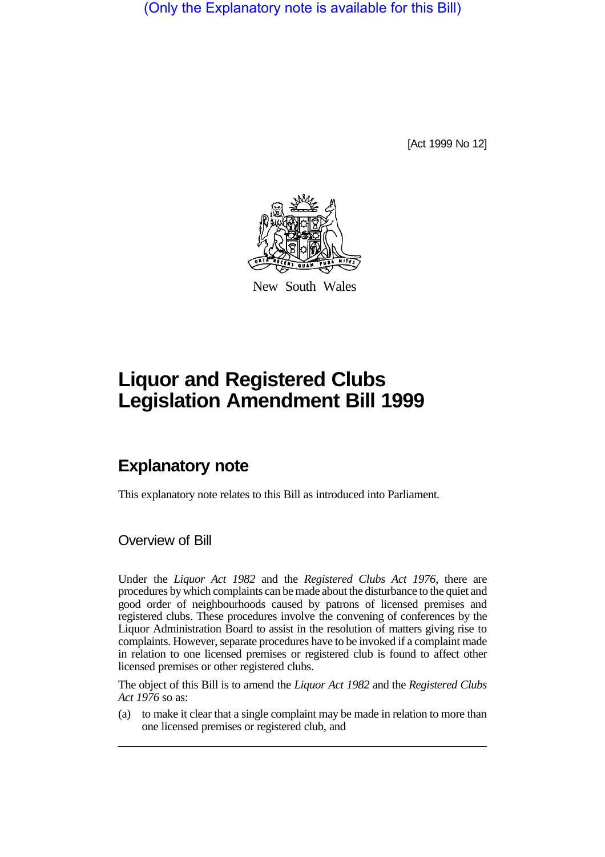(Only the Explanatory note is available for this Bill)

[Act 1999 No 12]



New South Wales

# **Liquor and Registered Clubs Legislation Amendment Bill 1999**

## **Explanatory note**

This explanatory note relates to this Bill as introduced into Parliament.

Overview of Bill

Under the *Liquor Act 1982* and the *Registered Clubs Act 1976*, there are procedures by which complaints can be made about the disturbance to the quiet and good order of neighbourhoods caused by patrons of licensed premises and registered clubs. These procedures involve the convening of conferences by the Liquor Administration Board to assist in the resolution of matters giving rise to complaints. However, separate procedures have to be invoked if a complaint made in relation to one licensed premises or registered club is found to affect other licensed premises or other registered clubs.

The object of this Bill is to amend the *Liquor Act 1982* and the *Registered Clubs Act 1976* so as:

(a) to make it clear that a single complaint may be made in relation to more than one licensed premises or registered club, and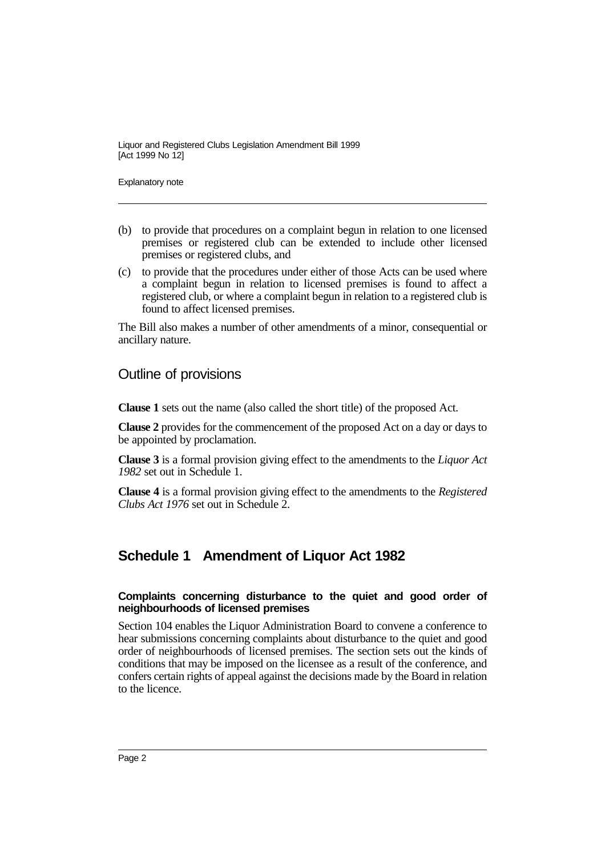Explanatory note

- (b) to provide that procedures on a complaint begun in relation to one licensed premises or registered club can be extended to include other licensed premises or registered clubs, and
- (c) to provide that the procedures under either of those Acts can be used where a complaint begun in relation to licensed premises is found to affect a registered club, or where a complaint begun in relation to a registered club is found to affect licensed premises.

The Bill also makes a number of other amendments of a minor, consequential or ancillary nature.

### Outline of provisions

**Clause 1** sets out the name (also called the short title) of the proposed Act.

**Clause 2** provides for the commencement of the proposed Act on a day or days to be appointed by proclamation.

**Clause 3** is a formal provision giving effect to the amendments to the *Liquor Act 1982* set out in Schedule 1.

**Clause 4** is a formal provision giving effect to the amendments to the *Registered Clubs Act 1976* set out in Schedule 2.

## **Schedule 1 Amendment of Liquor Act 1982**

#### **Complaints concerning disturbance to the quiet and good order of neighbourhoods of licensed premises**

Section 104 enables the Liquor Administration Board to convene a conference to hear submissions concerning complaints about disturbance to the quiet and good order of neighbourhoods of licensed premises. The section sets out the kinds of conditions that may be imposed on the licensee as a result of the conference, and confers certain rights of appeal against the decisions made by the Board in relation to the licence.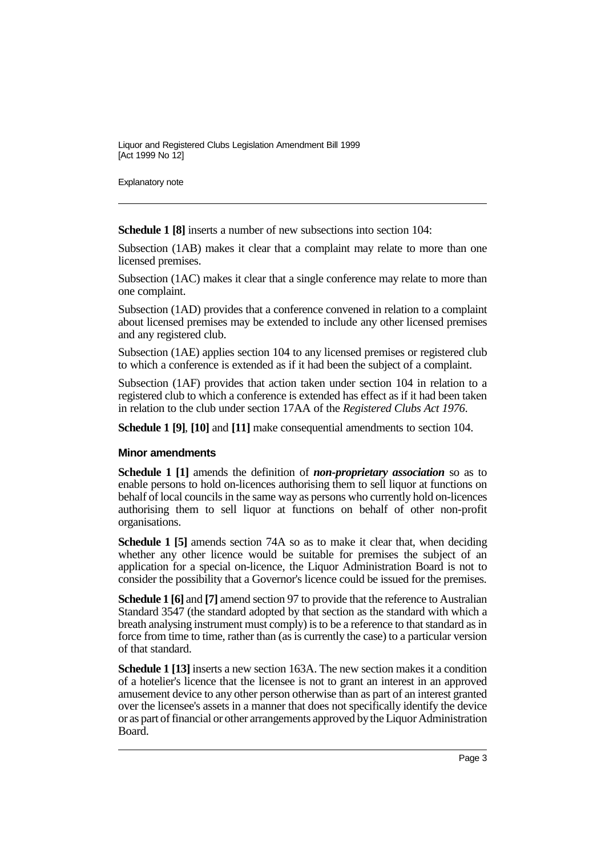Explanatory note

**Schedule 1 [8]** inserts a number of new subsections into section 104:

Subsection (1AB) makes it clear that a complaint may relate to more than one licensed premises.

Subsection (1AC) makes it clear that a single conference may relate to more than one complaint.

Subsection (1AD) provides that a conference convened in relation to a complaint about licensed premises may be extended to include any other licensed premises and any registered club.

Subsection (1AE) applies section 104 to any licensed premises or registered club to which a conference is extended as if it had been the subject of a complaint.

Subsection (1AF) provides that action taken under section 104 in relation to a registered club to which a conference is extended has effect as if it had been taken in relation to the club under section 17AA of the *Registered Clubs Act 1976*.

**Schedule 1 [9]**, **[10]** and **[11]** make consequential amendments to section 104.

#### **Minor amendments**

**Schedule 1 [1]** amends the definition of *non-proprietary association* so as to enable persons to hold on-licences authorising them to sell liquor at functions on behalf of local councils in the same way as persons who currently hold on-licences authorising them to sell liquor at functions on behalf of other non-profit organisations.

**Schedule 1 [5]** amends section 74A so as to make it clear that, when deciding whether any other licence would be suitable for premises the subject of an application for a special on-licence, the Liquor Administration Board is not to consider the possibility that a Governor's licence could be issued for the premises.

**Schedule 1 [6]** and **[7]** amend section 97 to provide that the reference to Australian Standard 3547 (the standard adopted by that section as the standard with which a breath analysing instrument must comply) is to be a reference to that standard as in force from time to time, rather than (as is currently the case) to a particular version of that standard.

**Schedule 1 [13]** inserts a new section 163A. The new section makes it a condition of a hotelier's licence that the licensee is not to grant an interest in an approved amusement device to any other person otherwise than as part of an interest granted over the licensee's assets in a manner that does not specifically identify the device or as part of financial or other arrangements approved by the Liquor Administration Board.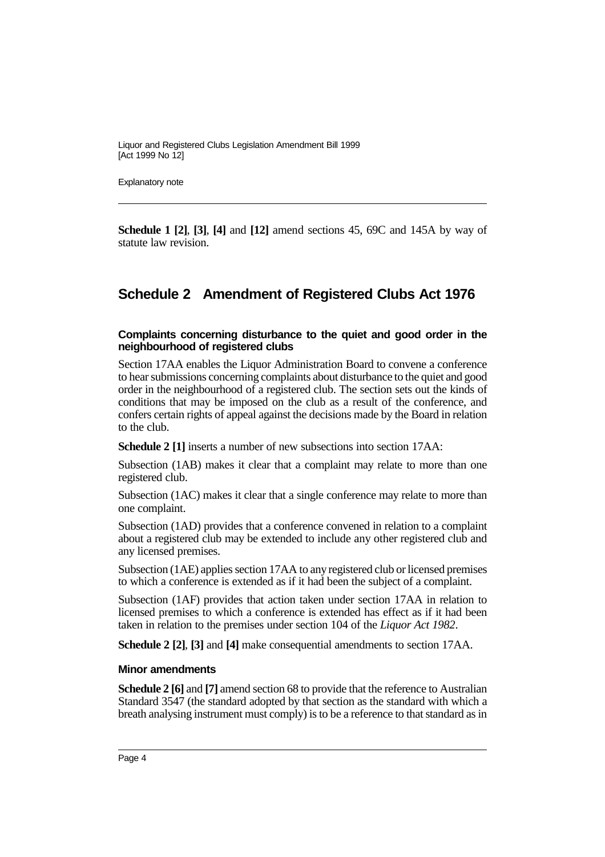Explanatory note

**Schedule 1 [2]**, **[3]**, **[4]** and **[12]** amend sections 45, 69C and 145A by way of statute law revision.

### **Schedule 2 Amendment of Registered Clubs Act 1976**

#### **Complaints concerning disturbance to the quiet and good order in the neighbourhood of registered clubs**

Section 17AA enables the Liquor Administration Board to convene a conference to hear submissions concerning complaints about disturbance to the quiet and good order in the neighbourhood of a registered club. The section sets out the kinds of conditions that may be imposed on the club as a result of the conference, and confers certain rights of appeal against the decisions made by the Board in relation to the club.

**Schedule 2 [1]** inserts a number of new subsections into section 17AA:

Subsection (1AB) makes it clear that a complaint may relate to more than one registered club.

Subsection (1AC) makes it clear that a single conference may relate to more than one complaint.

Subsection (1AD) provides that a conference convened in relation to a complaint about a registered club may be extended to include any other registered club and any licensed premises.

Subsection (1AE) applies section 17AA to any registered club or licensed premises to which a conference is extended as if it had been the subject of a complaint.

Subsection (1AF) provides that action taken under section 17AA in relation to licensed premises to which a conference is extended has effect as if it had been taken in relation to the premises under section 104 of the *Liquor Act 1982*.

**Schedule 2 [2]**, **[3]** and **[4]** make consequential amendments to section 17AA.

#### **Minor amendments**

**Schedule 2 [6]** and **[7]** amend section 68 to provide that the reference to Australian Standard 3547 (the standard adopted by that section as the standard with which a breath analysing instrument must comply) is to be a reference to that standard as in